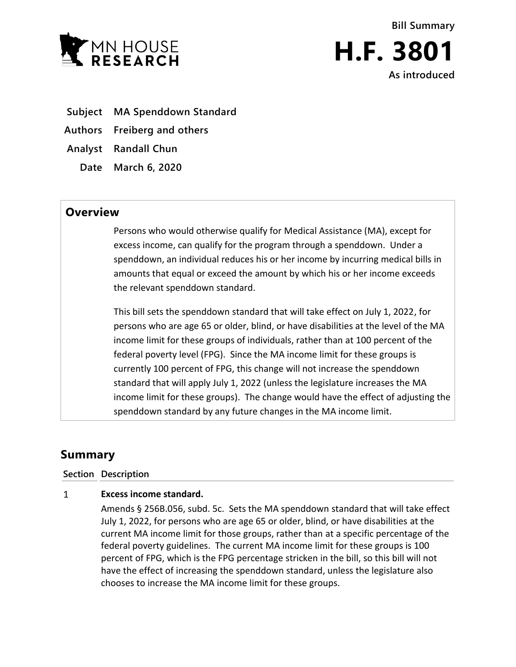



- **Subject MA Spenddown Standard**
- **Authors Freiberg and others**
- **Analyst Randall Chun**
	- **Date March 6, 2020**

## **Overview**

Persons who would otherwise qualify for Medical Assistance (MA), except for excess income, can qualify for the program through a spenddown. Under a spenddown, an individual reduces his or her income by incurring medical bills in amounts that equal or exceed the amount by which his or her income exceeds the relevant spenddown standard.

This bill sets the spenddown standard that will take effect on July 1, 2022, for persons who are age 65 or older, blind, or have disabilities at the level of the MA income limit for these groups of individuals, rather than at 100 percent of the federal poverty level (FPG). Since the MA income limit for these groups is currently 100 percent of FPG, this change will not increase the spenddown standard that will apply July 1, 2022 (unless the legislature increases the MA income limit for these groups). The change would have the effect of adjusting the spenddown standard by any future changes in the MA income limit.

## **Summary**

## **Section Description**

## $\mathbf{1}$ **Excess income standard.**

Amends § 256B.056, subd. 5c. Sets the MA spenddown standard that will take effect July 1, 2022, for persons who are age 65 or older, blind, or have disabilities at the current MA income limit for those groups, rather than at a specific percentage of the federal poverty guidelines. The current MA income limit for these groups is 100 percent of FPG, which is the FPG percentage stricken in the bill, so this bill will not have the effect of increasing the spenddown standard, unless the legislature also chooses to increase the MA income limit for these groups.